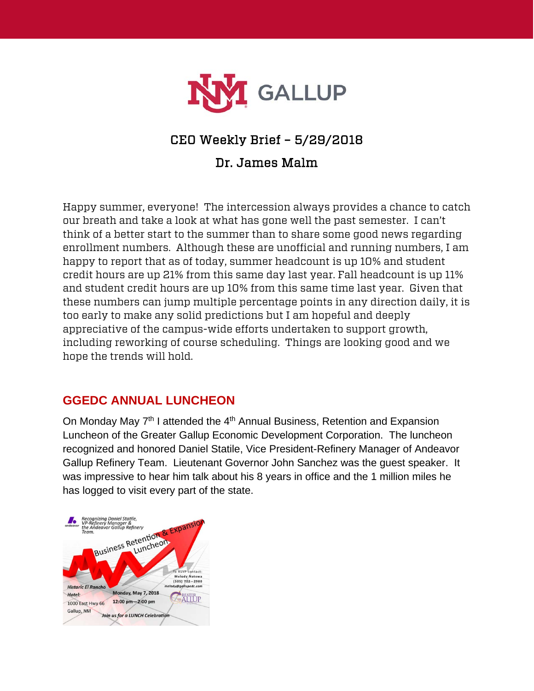

# CEO Weekly Brief – 5/29/2018

## Dr. James Malm

Happy summer, everyone! The intercession always provides a chance to catch our breath and take a look at what has gone well the past semester. I can't think of a better start to the summer than to share some good news regarding enrollment numbers. Although these are unofficial and running numbers, I am happy to report that as of today, summer headcount is up 10% and student credit hours are up 21% from this same day last year. Fall headcount is up 11% and student credit hours are up 10% from this same time last year. Given that these numbers can jump multiple percentage points in any direction daily, it is too early to make any solid predictions but I am hopeful and deeply appreciative of the campus-wide efforts undertaken to support growth, including reworking of course scheduling. Things are looking good and we hope the trends will hold.

## **GGEDC ANNUAL LUNCHEON**

On Monday May 7<sup>th</sup> I attended the 4<sup>th</sup> Annual Business, Retention and Expansion Luncheon of the Greater Gallup Economic Development Corporation. The luncheon recognized and honored Daniel Statile, Vice President-Refinery Manager of Andeavor Gallup Refinery Team. Lieutenant Governor John Sanchez was the guest speaker. It was impressive to hear him talk about his 8 years in office and the 1 million miles he has logged to visit every part of the state.

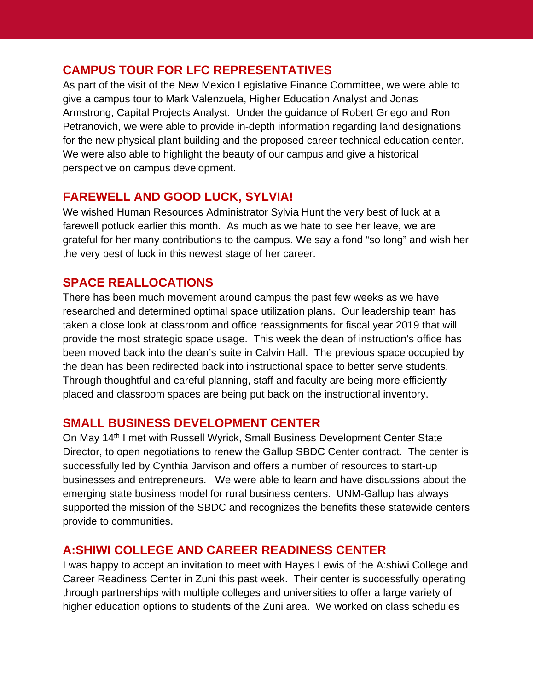#### **CAMPUS TOUR FOR LFC REPRESENTATIVES**

As part of the visit of the New Mexico Legislative Finance Committee, we were able to give a campus tour to Mark Valenzuela, Higher Education Analyst and Jonas Armstrong, Capital Projects Analyst. Under the guidance of Robert Griego and Ron Petranovich, we were able to provide in-depth information regarding land designations for the new physical plant building and the proposed career technical education center. We were also able to highlight the beauty of our campus and give a historical perspective on campus development.

#### **FAREWELL AND GOOD LUCK, SYLVIA!**

We wished Human Resources Administrator Sylvia Hunt the very best of luck at a farewell potluck earlier this month. As much as we hate to see her leave, we are grateful for her many contributions to the campus. We say a fond "so long" and wish her the very best of luck in this newest stage of her career.

## **SPACE REALLOCATIONS**

There has been much movement around campus the past few weeks as we have researched and determined optimal space utilization plans. Our leadership team has taken a close look at classroom and office reassignments for fiscal year 2019 that will provide the most strategic space usage. This week the dean of instruction's office has been moved back into the dean's suite in Calvin Hall. The previous space occupied by the dean has been redirected back into instructional space to better serve students. Through thoughtful and careful planning, staff and faculty are being more efficiently placed and classroom spaces are being put back on the instructional inventory.

#### **SMALL BUSINESS DEVELOPMENT CENTER**

On May 14th I met with Russell Wyrick, Small Business Development Center State Director, to open negotiations to renew the Gallup SBDC Center contract. The center is successfully led by Cynthia Jarvison and offers a number of resources to start-up businesses and entrepreneurs. We were able to learn and have discussions about the emerging state business model for rural business centers. UNM-Gallup has always supported the mission of the SBDC and recognizes the benefits these statewide centers provide to communities.

#### **A:SHIWI COLLEGE AND CAREER READINESS CENTER**

I was happy to accept an invitation to meet with Hayes Lewis of the A:shiwi College and Career Readiness Center in Zuni this past week. Their center is successfully operating through partnerships with multiple colleges and universities to offer a large variety of higher education options to students of the Zuni area. We worked on class schedules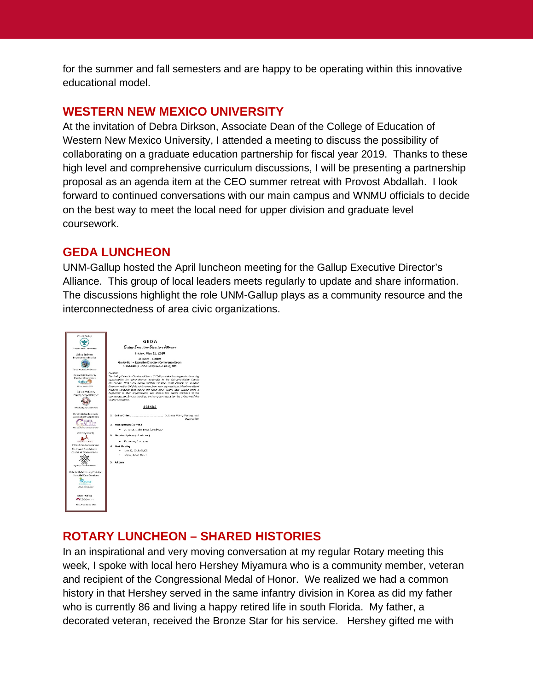for the summer and fall semesters and are happy to be operating within this innovative educational model.

#### **WESTERN NEW MEXICO UNIVERSITY**

At the invitation of Debra Dirkson, Associate Dean of the College of Education of Western New Mexico University, I attended a meeting to discuss the possibility of collaborating on a graduate education partnership for fiscal year 2019. Thanks to these high level and comprehensive curriculum discussions, I will be presenting a partnership proposal as an agenda item at the CEO summer retreat with Provost Abdallah. I look forward to continued conversations with our main campus and WNMU officials to decide on the best way to meet the local need for upper division and graduate level coursework.

## **GEDA LUNCHEON**

UNM-Gallup hosted the April luncheon meeting for the Gallup Executive Director's Alliance. This group of local leaders meets regularly to update and share information. The discussions highlight the role UNM-Gallup plays as a community resource and the interconnectedness of area civic organizations.



## **ROTARY LUNCHEON – SHARED HISTORIES**

In an inspirational and very moving conversation at my regular Rotary meeting this week, I spoke with local hero Hershey Miyamura who is a community member, veteran and recipient of the Congressional Medal of Honor. We realized we had a common history in that Hershey served in the same infantry division in Korea as did my father who is currently 86 and living a happy retired life in south Florida. My father, a decorated veteran, received the Bronze Star for his service. Hershey gifted me with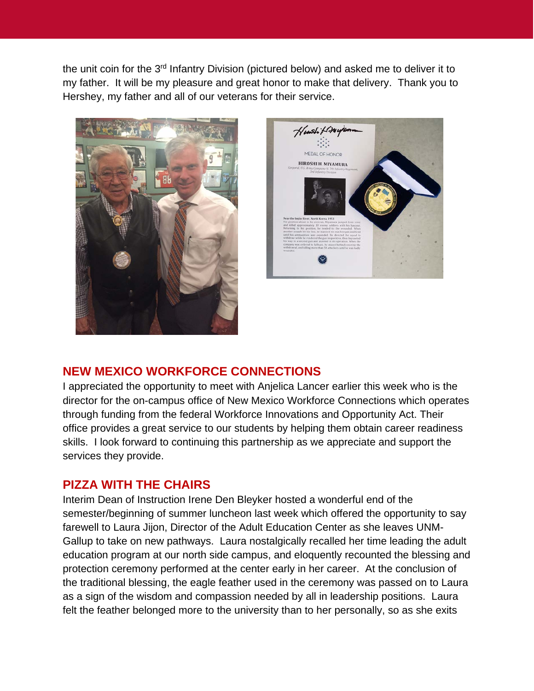the unit coin for the 3<sup>rd</sup> Infantry Division (pictured below) and asked me to deliver it to my father. It will be my pleasure and great honor to make that delivery. Thank you to Hershey, my father and all of our veterans for their service.





#### **NEW MEXICO WORKFORCE CONNECTIONS**

I appreciated the opportunity to meet with Anjelica Lancer earlier this week who is the director for the on-campus office of New Mexico Workforce Connections which operates through funding from the federal Workforce Innovations and Opportunity Act. Their office provides a great service to our students by helping them obtain career readiness skills. I look forward to continuing this partnership as we appreciate and support the services they provide.

#### **PIZZA WITH THE CHAIRS**

Interim Dean of Instruction Irene Den Bleyker hosted a wonderful end of the semester/beginning of summer luncheon last week which offered the opportunity to say farewell to Laura Jijon, Director of the Adult Education Center as she leaves UNM-Gallup to take on new pathways. Laura nostalgically recalled her time leading the adult education program at our north side campus, and eloquently recounted the blessing and protection ceremony performed at the center early in her career. At the conclusion of the traditional blessing, the eagle feather used in the ceremony was passed on to Laura as a sign of the wisdom and compassion needed by all in leadership positions. Laura felt the feather belonged more to the university than to her personally, so as she exits